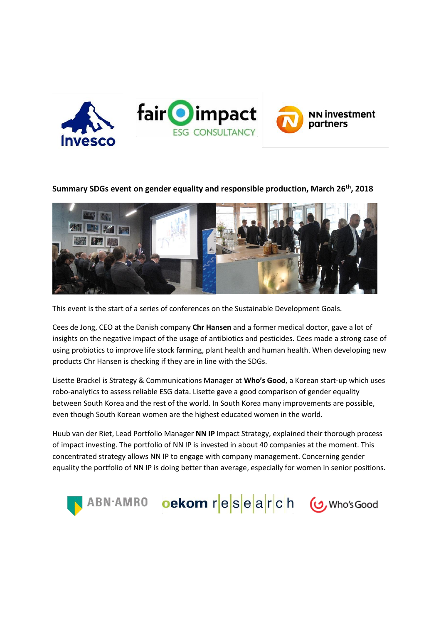

## **Summary SDGs event on gender equality and responsible production, March 26th, 2018**



This event is the start of a series of conferences on the Sustainable Development Goals.

Cees de Jong, CEO at the Danish company **Chr Hansen** and a former medical doctor, gave a lot of insights on the negative impact of the usage of antibiotics and pesticides. Cees made a strong case of using probiotics to improve life stock farming, plant health and human health. When developing new products Chr Hansen is checking if they are in line with the SDGs.

Lisette Brackel is Strategy & Communications Manager at **Who's Good**, a Korean start-up which uses robo-analytics to assess reliable ESG data. Lisette gave a good comparison of gender equality between South Korea and the rest of the world. In South Korea many improvements are possible, even though South Korean women are the highest educated women in the world.

Huub van der Riet, Lead Portfolio Manager **NN IP** Impact Strategy, explained their thorough process of impact investing. The portfolio of NN IP is invested in about 40 companies at the moment. This concentrated strategy allows NN IP to engage with company management. Concerning gender equality the portfolio of NN IP is doing better than average, especially for women in senior positions.